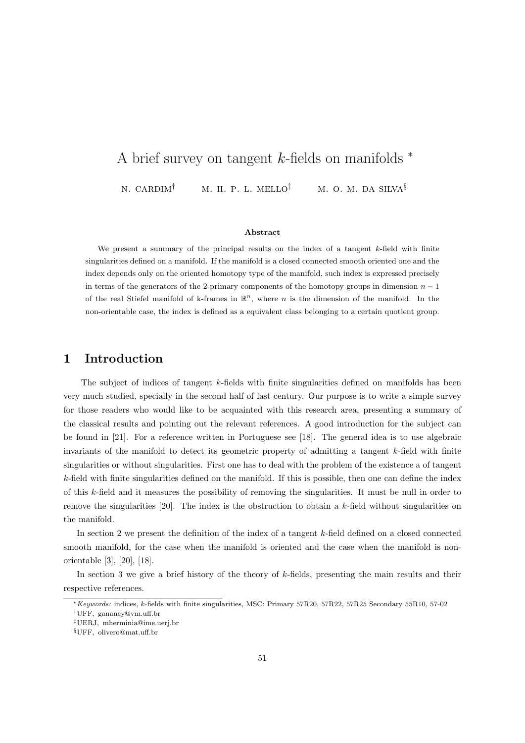# A brief survey on tangent k-fields on manifolds  $*$

N. CARDIM<sup>†</sup> M. H. P. L. MELLO<sup>‡</sup> M. O. M. DA SILVA<sup>§</sup>

#### Abstract

We present a summary of the principal results on the index of a tangent  $k$ -field with finite singularities defined on a manifold. If the manifold is a closed connected smooth oriented one and the index depends only on the oriented homotopy type of the manifold, such index is expressed precisely in terms of the generators of the 2-primary components of the homotopy groups in dimension  $n-1$ of the real Stiefel manifold of k-frames in  $\mathbb{R}^n$ , where n is the dimension of the manifold. In the non-orientable case, the index is defined as a equivalent class belonging to a certain quotient group.

## 1 Introduction

The subject of indices of tangent k-fields with finite singularities defined on manifolds has been very much studied, specially in the second half of last century. Our purpose is to write a simple survey for those readers who would like to be acquainted with this research area, presenting a summary of the classical results and pointing out the relevant references. A good introduction for the subject can be found in [21]. For a reference written in Portuguese see [18]. The general idea is to use algebraic invariants of the manifold to detect its geometric property of admitting a tangent  $k$ -field with finite singularities or without singularities. First one has to deal with the problem of the existence a of tangent k-field with finite singularities defined on the manifold. If this is possible, then one can define the index of this k-field and it measures the possibility of removing the singularities. It must be null in order to remove the singularities  $[20]$ . The index is the obstruction to obtain a k-field without singularities on the manifold.

In section 2 we present the definition of the index of a tangent k-field defined on a closed connected smooth manifold, for the case when the manifold is oriented and the case when the manifold is nonorientable [3], [20], [18].

In section 3 we give a brief history of the theory of k-fields, presenting the main results and their respective references.

<sup>∗</sup>Keywords: indices, k-fields with finite singularities, MSC: Primary 57R20, 57R22, 57R25 Secondary 55R10, 57-02

<sup>†</sup>UFF, ganancy@vm.uff.br

<sup>‡</sup>UERJ, mherminia@ime.uerj.br

<sup>§</sup>UFF, olivero@mat.uff.br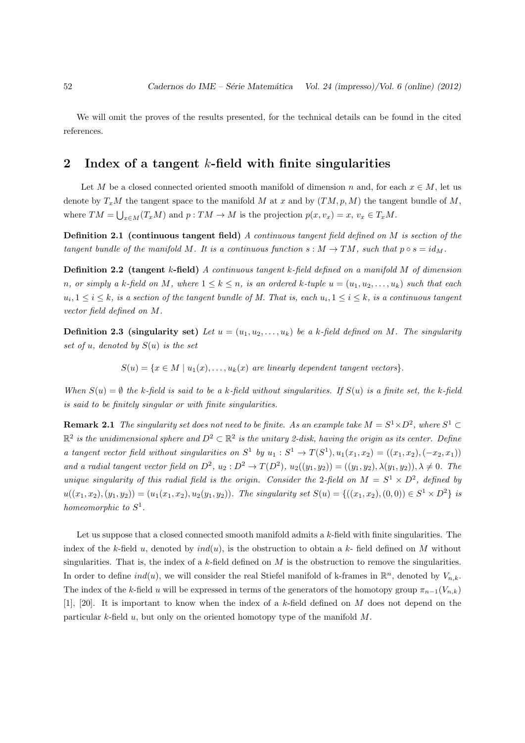We will omit the proves of the results presented, for the technical details can be found in the cited references.

# 2 Index of a tangent  $k$ -field with finite singularities

Let M be a closed connected oriented smooth manifold of dimension n and, for each  $x \in M$ , let us denote by  $T_xM$  the tangent space to the manifold M at x and by  $(TM, p, M)$  the tangent bundle of M, where  $TM = \bigcup_{x \in M} (T_x M)$  and  $p: TM \to M$  is the projection  $p(x, v_x) = x, v_x \in T_x M$ .

Definition 2.1 (continuous tangent field) A continuous tangent field defined on M is section of the tangent bundle of the manifold M. It is a continuous function  $s : M \to TM$ , such that  $p \circ s = id_M$ .

Definition 2.2 (tangent k-field) A continuous tangent k-field defined on a manifold M of dimension n, or simply a k-field on M, where  $1 \leq k \leq n$ , is an ordered k-tuple  $u = (u_1, u_2, \ldots, u_k)$  such that each  $u_i, 1 \leq i \leq k$ , is a section of the tangent bundle of M. That is, each  $u_i, 1 \leq i \leq k$ , is a continuous tangent vector field defined on M.

**Definition 2.3 (singularity set)** Let  $u = (u_1, u_2, \ldots, u_k)$  be a k-field defined on M. The singularity set of u, denoted by  $S(u)$  is the set

 $S(u) = \{x \in M \mid u_1(x), \ldots, u_k(x) \text{ are linearly dependent tangent vectors}\}.$ 

When  $S(u) = \emptyset$  the k-field is said to be a k-field without singularities. If  $S(u)$  is a finite set, the k-field is said to be finitely singular or with finite singularities.

**Remark 2.1** The singularity set does not need to be finite. As an example take  $M = S^1 \times D^2$ , where  $S^1 \subset$  $\mathbb{R}^2$  is the unidimensional sphere and  $D^2\subset \mathbb{R}^2$  is the unitary 2-disk, having the origin as its center. Define a tangent vector field without singularities on  $S^1$  by  $u_1 : S^1 \to T(S^1), u_1(x_1, x_2) = ((x_1, x_2), (-x_2, x_1))$ and a radial tangent vector field on  $D^2$ ,  $u_2 : D^2 \to T(D^2)$ ,  $u_2((y_1, y_2)) = ((y_1, y_2), \lambda(y_1, y_2)), \lambda \neq 0$ . The unique singularity of this radial field is the origin. Consider the 2-field on  $M = S^1 \times D^2$ , defined by  $u((x_1, x_2), (y_1, y_2)) = (u_1(x_1, x_2), u_2(y_1, y_2))$ . The singularity set  $S(u) = \{((x_1, x_2), (0, 0)) \in S^1 \times D^2\}$  is homeomorphic to  $S^1$ .

Let us suppose that a closed connected smooth manifold admits a  $k$ -field with finite singularities. The index of the k-field u, denoted by  $ind(u)$ , is the obstruction to obtain a k-field defined on M without singularities. That is, the index of a k-field defined on  $M$  is the obstruction to remove the singularities. In order to define  $ind(u)$ , we will consider the real Stiefel manifold of k-frames in  $\mathbb{R}^n$ , denoted by  $V_{n,k}$ . The index of the k-field u will be expressed in terms of the generators of the homotopy group  $\pi_{n-1}(V_{n,k})$ [1], [20]. It is important to know when the index of a k-field defined on M does not depend on the particular k-field  $u$ , but only on the oriented homotopy type of the manifold  $M$ .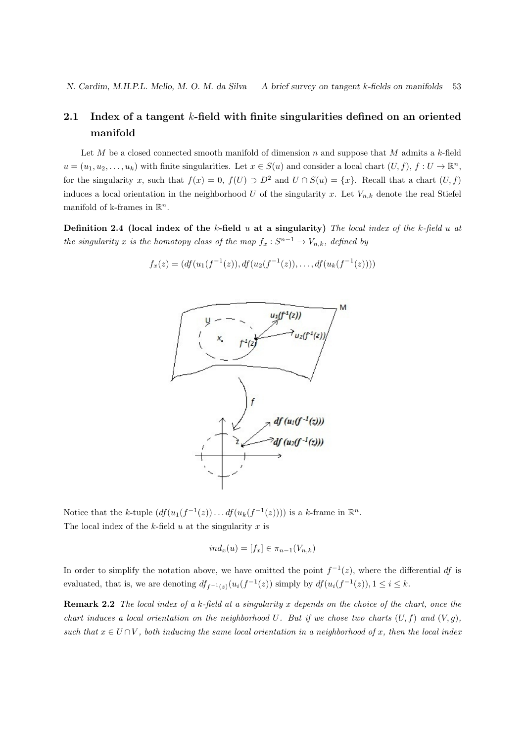# 2.1 Index of a tangent k-field with finite singularities defined on an oriented manifold

Let M be a closed connected smooth manifold of dimension n and suppose that M admits a k-field  $u = (u_1, u_2, \dots, u_k)$  with finite singularities. Let  $x \in S(u)$  and consider a local chart  $(U, f), f : U \to \mathbb{R}^n$ , for the singularity x, such that  $f(x) = 0$ ,  $f(U) \supset D^2$  and  $U \cap S(u) = \{x\}$ . Recall that a chart  $(U, f)$ induces a local orientation in the neighborhood U of the singularity x. Let  $V_{n,k}$  denote the real Stiefel manifold of k-frames in  $\mathbb{R}^n$ .

Definition 2.4 (local index of the k-field  $u$  at a singularity) The local index of the k-field  $u$  at the singularity x is the homotopy class of the map  $f_x : S^{n-1} \to V_{n,k}$ , defined by

$$
f_x(z) = (df(u_1(f^{-1}(z)), df(u_2(f^{-1}(z)), \dots, df(u_k(f^{-1}(z))))
$$



Notice that the k-tuple  $(df(u_1(f^{-1}(z)) \dots df(u_k(f^{-1}(z))))$  is a k-frame in  $\mathbb{R}^n$ . The local index of the  $k$ -field  $u$  at the singularity  $x$  is

$$
ind_x(u) = [f_x] \in \pi_{n-1}(V_{n,k})
$$

In order to simplify the notation above, we have omitted the point  $f^{-1}(z)$ , where the differential df is evaluated, that is, we are denoting  $df_{f^{-1}(z)}(u_i(f^{-1}(z))$  simply by  $df(u_i(f^{-1}(z)), 1 \le i \le k$ .

Remark 2.2 The local index of a k-field at a singularity x depends on the choice of the chart, once the chart induces a local orientation on the neighborhood U. But if we chose two charts  $(U, f)$  and  $(V, q)$ , such that  $x \in U \cap V$ , both inducing the same local orientation in a neighborhood of x, then the local index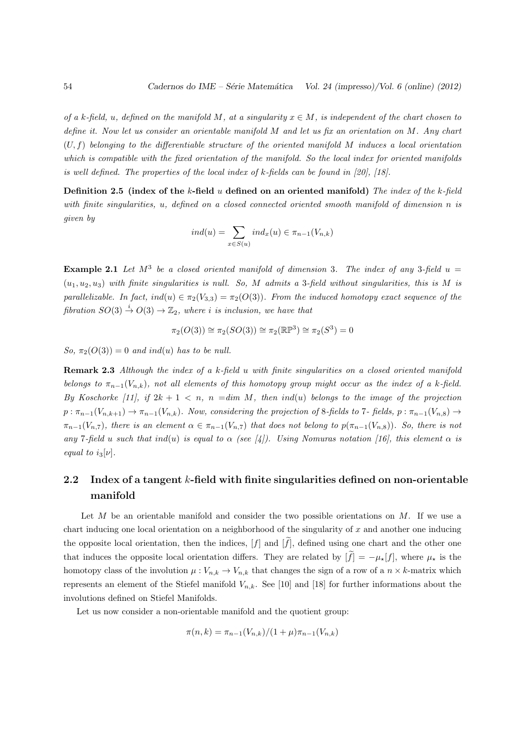of a k-field, u, defined on the manifold M, at a singularity  $x \in M$ , is independent of the chart chosen to define it. Now let us consider an orientable manifold  $M$  and let us fix an orientation on  $M$ . Any chart  $(U, f)$  belonging to the differentiable structure of the oriented manifold M induces a local orientation which is compatible with the fixed orientation of the manifold. So the local index for oriented manifolds is well defined. The properties of the local index of k-fields can be found in [20], [18].

Definition 2.5 (index of the k-field  $u$  defined on an oriented manifold) The index of the k-field with finite singularities, u, defined on a closed connected oriented smooth manifold of dimension n is given by

$$
ind(u) = \sum_{x \in S(u)} ind_x(u) \in \pi_{n-1}(V_{n,k})
$$

**Example 2.1** Let  $M^3$  be a closed oriented manifold of dimension 3. The index of any 3-field  $u =$  $(u_1, u_2, u_3)$  with finite singularities is null. So, M admits a 3-field without singularities, this is M is parallelizable. In fact,  $ind(u) \in \pi_2(V_{3,3}) = \pi_2(O(3))$ . From the induced homotopy exact sequence of the fibration  $SO(3) \stackrel{i}{\rightarrow} O(3) \rightarrow \mathbb{Z}_2$ , where i is inclusion, we have that

$$
\pi_2(O(3)) \cong \pi_2(SO(3)) \cong \pi_2(\mathbb{RP}^3) \cong \pi_2(S^3) = 0
$$

So,  $\pi_2(O(3)) = 0$  and ind(u) has to be null.

Remark 2.3 Although the index of a k-field u with finite singularities on a closed oriented manifold belongs to  $\pi_{n-1}(V_{n,k})$ , not all elements of this homotopy group might occur as the index of a k-field. By Koschorke [11], if  $2k + 1 < n$ ,  $n = dim M$ , then ind(u) belongs to the image of the projection  $p : \pi_{n-1}(V_{n,k+1}) \to \pi_{n-1}(V_{n,k})$ . Now, considering the projection of 8-fields to 7-fields,  $p : \pi_{n-1}(V_{n,8}) \to$  $\pi_{n-1}(V_{n,7})$ , there is an element  $\alpha \in \pi_{n-1}(V_{n,7})$  that does not belong to  $p(\pi_{n-1}(V_{n,8}))$ . So, there is not any 7-field u such that ind(u) is equal to  $\alpha$  (see [4]). Using Nomuras notation [16], this element  $\alpha$  is equal to  $i_3[\nu]$ .

# 2.2 Index of a tangent  $k$ -field with finite singularities defined on non-orientable manifold

Let  $M$  be an orientable manifold and consider the two possible orientations on  $M$ . If we use a chart inducing one local orientation on a neighborhood of the singularity of  $x$  and another one inducing the opposite local orientation, then the indices,  $[f]$  and  $[f]$ , defined using one chart and the other one that induces the opposite local orientation differs. They are related by  $[f] = -\mu_{\star}[f]$ , where  $\mu_{\star}$  is the homotopy class of the involution  $\mu: V_{n,k} \to V_{n,k}$  that changes the sign of a row of a  $n \times k$ -matrix which represents an element of the Stiefel manifold  $V_{n,k}$ . See [10] and [18] for further informations about the involutions defined on Stiefel Manifolds.

Let us now consider a non-orientable manifold and the quotient group:

$$
\pi(n,k) = \pi_{n-1}(V_{n,k})/(1+\mu)\pi_{n-1}(V_{n,k})
$$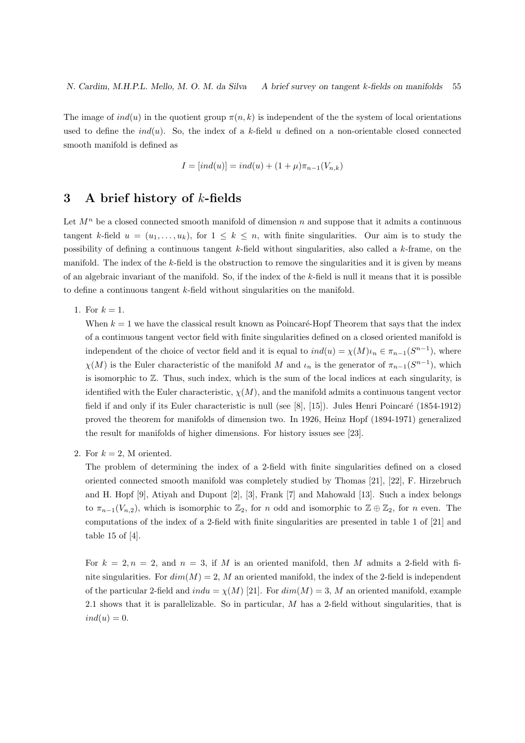The image of  $ind(u)$  in the quotient group  $\pi(n, k)$  is independent of the the system of local orientations used to define the  $ind(u)$ . So, the index of a k-field u defined on a non-orientable closed connected smooth manifold is defined as

$$
I = [ind(u)] = ind(u) + (1 + \mu)\pi_{n-1}(V_{n,k})
$$

# 3 A brief history of  $k$ -fields

Let  $M^n$  be a closed connected smooth manifold of dimension n and suppose that it admits a continuous tangent k-field  $u = (u_1, \ldots, u_k)$ , for  $1 \leq k \leq n$ , with finite singularities. Our aim is to study the possibility of defining a continuous tangent  $k$ -field without singularities, also called a  $k$ -frame, on the manifold. The index of the k-field is the obstruction to remove the singularities and it is given by means of an algebraic invariant of the manifold. So, if the index of the  $k$ -field is null it means that it is possible to define a continuous tangent k-field without singularities on the manifold.

1. For  $k = 1$ .

When  $k = 1$  we have the classical result known as Poincaré-Hopf Theorem that says that the index of a continuous tangent vector field with finite singularities defined on a closed oriented manifold is independent of the choice of vector field and it is equal to  $ind(u) = \chi(M)\iota_n \in \pi_{n-1}(S^{n-1})$ , where  $\chi(M)$  is the Euler characteristic of the manifold M and  $\iota_n$  is the generator of  $\pi_{n-1}(S^{n-1})$ , which is isomorphic to  $\mathbb{Z}$ . Thus, such index, which is the sum of the local indices at each singularity, is identified with the Euler characteristic,  $\chi(M)$ , and the manifold admits a continuous tangent vector field if and only if its Euler characteristic is null (see [8], [15]). Jules Henri Poincaré (1854-1912) proved the theorem for manifolds of dimension two. In 1926, Heinz Hopf (1894-1971) generalized the result for manifolds of higher dimensions. For history issues see [23].

2. For  $k = 2$ , M oriented.

The problem of determining the index of a 2-field with finite singularities defined on a closed oriented connected smooth manifold was completely studied by Thomas [21], [22], F. Hirzebruch and H. Hopf [9], Atiyah and Dupont [2], [3], Frank [7] and Mahowald [13]. Such a index belongs to  $\pi_{n-1}(V_{n,2})$ , which is isomorphic to  $\mathbb{Z}_2$ , for n odd and isomorphic to  $\mathbb{Z} \oplus \mathbb{Z}_2$ , for n even. The computations of the index of a 2-field with finite singularities are presented in table 1 of [21] and table 15 of [4].

For  $k = 2, n = 2$ , and  $n = 3$ , if M is an oriented manifold, then M admits a 2-field with finite singularities. For  $dim(M) = 2$ , M an oriented manifold, the index of the 2-field is independent of the particular 2-field and  $indu = \chi(M)$  [21]. For  $dim(M) = 3$ , M an oriented manifold, example 2.1 shows that it is parallelizable. So in particular,  $M$  has a 2-field without singularities, that is  $ind(u) = 0.$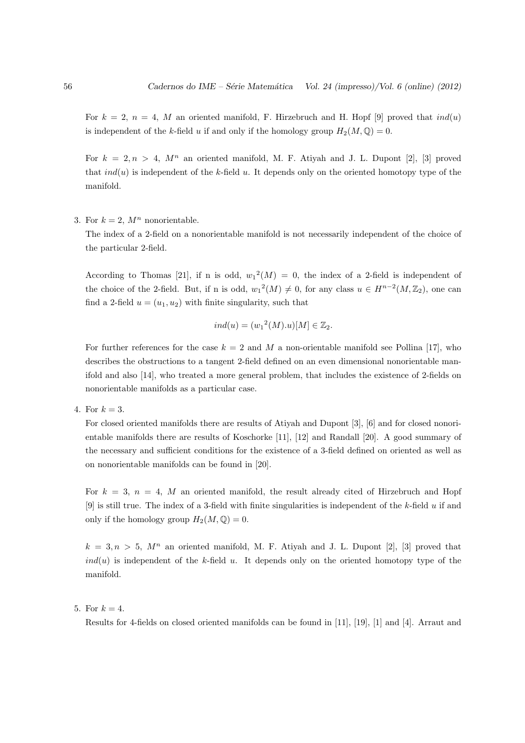For  $k = 2$ ,  $n = 4$ , M an oriented manifold, F. Hirzebruch and H. Hopf [9] proved that  $ind(u)$ is independent of the k-field u if and only if the homology group  $H_2(M, \mathbb{Q}) = 0$ .

For  $k = 2, n > 4, M<sup>n</sup>$  an oriented manifold, M. F. Atiyah and J. L. Dupont [2], [3] proved that  $ind(u)$  is independent of the k-field u. It depends only on the oriented homotopy type of the manifold.

### 3. For  $k = 2$ ,  $M^n$  nonorientable.

The index of a 2-field on a nonorientable manifold is not necessarily independent of the choice of the particular 2-field.

According to Thomas [21], if n is odd,  $w_1^2(M) = 0$ , the index of a 2-field is independent of the choice of the 2-field. But, if n is odd,  $w_1^2(M) \neq 0$ , for any class  $u \in H^{n-2}(M, \mathbb{Z}_2)$ , one can find a 2-field  $u = (u_1, u_2)$  with finite singularity, such that

$$
ind(u) = (w_1^2(M).u)[M] \in \mathbb{Z}_2.
$$

For further references for the case  $k = 2$  and M a non-orientable manifold see Pollina [17], who describes the obstructions to a tangent 2-field defined on an even dimensional nonorientable manifold and also [14], who treated a more general problem, that includes the existence of 2-fields on nonorientable manifolds as a particular case.

4. For  $k = 3$ .

For closed oriented manifolds there are results of Atiyah and Dupont [3], [6] and for closed nonorientable manifolds there are results of Koschorke [11], [12] and Randall [20]. A good summary of the necessary and sufficient conditions for the existence of a 3-field defined on oriented as well as on nonorientable manifolds can be found in [20].

For  $k = 3$ ,  $n = 4$ , M an oriented manifold, the result already cited of Hirzebruch and Hopf [9] is still true. The index of a 3-field with finite singularities is independent of the k-field u if and only if the homology group  $H_2(M, \mathbb{Q}) = 0$ .

 $k = 3, n > 5$ ,  $M^n$  an oriented manifold, M. F. Ativah and J. L. Dupont [2], [3] proved that  $ind(u)$  is independent of the k-field u. It depends only on the oriented homotopy type of the manifold.

#### 5. For  $k = 4$ .

Results for 4-fields on closed oriented manifolds can be found in [11], [19], [1] and [4]. Arraut and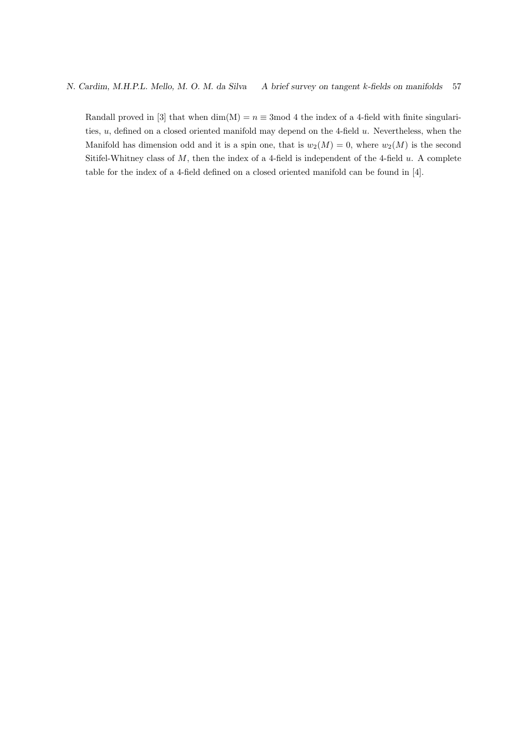Randall proved in [3] that when  $\dim(M) = n \equiv 3 \mod 4$  the index of a 4-field with finite singularities,  $u$ , defined on a closed oriented manifold may depend on the 4-field  $u$ . Nevertheless, when the Manifold has dimension odd and it is a spin one, that is  $w_2(M) = 0$ , where  $w_2(M)$  is the second Sitifel-Whitney class of  $M$ , then the index of a 4-field is independent of the 4-field  $u$ . A complete table for the index of a 4-field defined on a closed oriented manifold can be found in [4].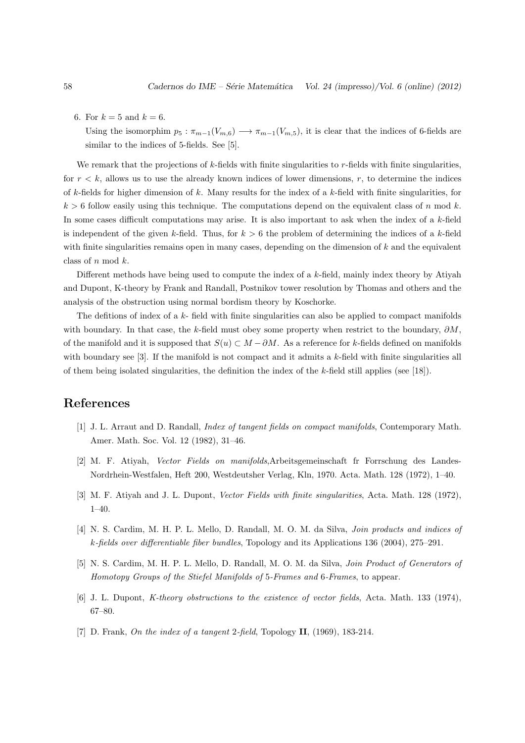6. For  $k = 5$  and  $k = 6$ .

Using the isomorphim  $p_5 : \pi_{m-1}(V_{m,6}) \longrightarrow \pi_{m-1}(V_{m,5})$ , it is clear that the indices of 6-fields are similar to the indices of 5-fields. See [5].

We remark that the projections of k-fields with finite singularities to  $r$ -fields with finite singularities, for  $r < k$ , allows us to use the already known indices of lower dimensions, r, to determine the indices of k-fields for higher dimension of k. Many results for the index of a k-field with finite singularities, for  $k > 6$  follow easily using this technique. The computations depend on the equivalent class of n mod k. In some cases difficult computations may arise. It is also important to ask when the index of a k-field is independent of the given k-field. Thus, for  $k > 6$  the problem of determining the indices of a k-field with finite singularities remains open in many cases, depending on the dimension of  $k$  and the equivalent class of  $n \mod k$ .

Different methods have being used to compute the index of a k-field, mainly index theory by Atiyah and Dupont, K-theory by Frank and Randall, Postnikov tower resolution by Thomas and others and the analysis of the obstruction using normal bordism theory by Koschorke.

The defitions of index of a  $k$ - field with finite singularities can also be applied to compact manifolds with boundary. In that case, the k-field must obey some property when restrict to the boundary,  $\partial M$ , of the manifold and it is supposed that  $S(u) \subset M - \partial M$ . As a reference for k-fields defined on manifolds with boundary see [3]. If the manifold is not compact and it admits a k-field with finite singularities all of them being isolated singularities, the definition the index of the  $k$ -field still applies (see [18]).

## References

- [1] J. L. Arraut and D. Randall, Index of tangent fields on compact manifolds, Contemporary Math. Amer. Math. Soc. Vol. 12 (1982), 31–46.
- [2] M. F. Atiyah, Vector Fields on manifolds,Arbeitsgemeinschaft fr Forrschung des Landes-Nordrhein-Westfalen, Heft 200, Westdeutsher Verlag, Kln, 1970. Acta. Math. 128 (1972), 1–40.
- [3] M. F. Atiyah and J. L. Dupont, Vector Fields with finite singularities, Acta. Math. 128 (1972), 1–40.
- [4] N. S. Cardim, M. H. P. L. Mello, D. Randall, M. O. M. da Silva, *Join products and indices of* k-fields over differentiable fiber bundles, Topology and its Applications 136 (2004), 275–291.
- [5] N. S. Cardim, M. H. P. L. Mello, D. Randall, M. O. M. da Silva, Join Product of Generators of Homotopy Groups of the Stiefel Manifolds of 5-Frames and 6-Frames, to appear.
- [6] J. L. Dupont, K-theory obstructions to the existence of vector fields, Acta. Math. 133 (1974), 67–80.
- [7] D. Frank, On the index of a tangent 2-field, Topology II, (1969), 183-214.